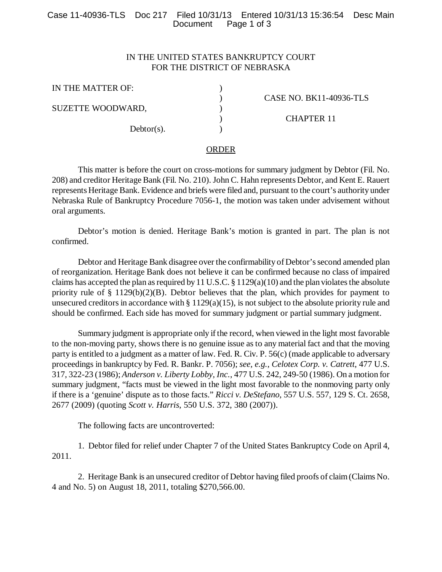## Case 11-40936-TLS Doc 217 Filed 10/31/13 Entered 10/31/13 15:36:54 Desc Main Page 1 of 3

# IN THE UNITED STATES BANKRUPTCY COURT FOR THE DISTRICT OF NEBRASKA

| IN THE MATTER OF: |                         |
|-------------------|-------------------------|
|                   | CASE NO. BK11-40936-TLS |
| SUZETTE WOODWARD, |                         |
|                   | <b>CHAPTER 11</b>       |
| $Dektor(s)$ .     |                         |

#### ORDER

This matter is before the court on cross-motions for summary judgment by Debtor (Fil. No. 208) and creditor Heritage Bank (Fil. No. 210). John C. Hahn represents Debtor, and Kent E. Rauert represents Heritage Bank. Evidence and briefs were filed and, pursuant to the court's authority under Nebraska Rule of Bankruptcy Procedure 7056-1, the motion was taken under advisement without oral arguments.

Debtor's motion is denied. Heritage Bank's motion is granted in part. The plan is not confirmed.

Debtor and Heritage Bank disagree over the confirmability of Debtor's second amended plan of reorganization. Heritage Bank does not believe it can be confirmed because no class of impaired claims has accepted the plan as required by 11 U.S.C. § 1129(a)(10) and the plan violates the absolute priority rule of § 1129(b)(2)(B). Debtor believes that the plan, which provides for payment to unsecured creditors in accordance with  $\S 1129(a)(15)$ , is not subject to the absolute priority rule and should be confirmed. Each side has moved for summary judgment or partial summary judgment.

Summary judgment is appropriate only if the record, when viewed in the light most favorable to the non-moving party, shows there is no genuine issue as to any material fact and that the moving party is entitled to a judgment as a matter of law. Fed. R. Civ. P. 56(c) (made applicable to adversary proceedings in bankruptcy by Fed. R. Bankr. P. 7056); *see, e.g.*, *Celotex Corp. v. Catrett*, 477 U.S. 317, 322-23 (1986); *Anderson v. Liberty Lobby, Inc.*, 477 U.S. 242, 249-50 (1986). On a motion for summary judgment, "facts must be viewed in the light most favorable to the nonmoving party only if there is a 'genuine' dispute as to those facts." *Ricci v. DeStefano*, 557 U.S. 557, 129 S. Ct. 2658, 2677 (2009) (quoting *Scott v. Harris*, 550 U.S. 372, 380 (2007)).

The following facts are uncontroverted:

1. Debtor filed for relief under Chapter 7 of the United States Bankruptcy Code on April 4, 2011.

2. Heritage Bank is an unsecured creditor of Debtor having filed proofs of claim (Claims No. 4 and No. 5) on August 18, 2011, totaling \$270,566.00.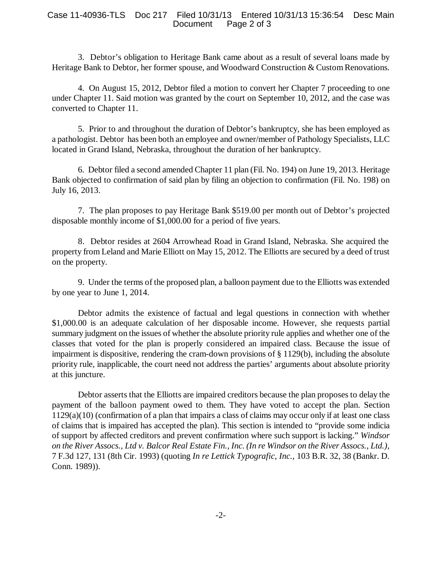#### Case 11-40936-TLS Doc 217 Filed 10/31/13 Entered 10/31/13 15:36:54 Desc Main Page 2 of 3

3. Debtor's obligation to Heritage Bank came about as a result of several loans made by Heritage Bank to Debtor, her former spouse, and Woodward Construction & Custom Renovations.

4. On August 15, 2012, Debtor filed a motion to convert her Chapter 7 proceeding to one under Chapter 11. Said motion was granted by the court on September 10, 2012, and the case was converted to Chapter 11.

5. Prior to and throughout the duration of Debtor's bankruptcy, she has been employed as a pathologist. Debtor has been both an employee and owner/member of Pathology Specialists, LLC located in Grand Island, Nebraska, throughout the duration of her bankruptcy.

6. Debtor filed a second amended Chapter 11 plan (Fil. No. 194) on June 19, 2013. Heritage Bank objected to confirmation of said plan by filing an objection to confirmation (Fil. No. 198) on July 16, 2013.

7. The plan proposes to pay Heritage Bank \$519.00 per month out of Debtor's projected disposable monthly income of \$1,000.00 for a period of five years.

8. Debtor resides at 2604 Arrowhead Road in Grand Island, Nebraska. She acquired the property from Leland and Marie Elliott on May 15, 2012. The Elliotts are secured by a deed of trust on the property.

9. Under the terms of the proposed plan, a balloon payment due to the Elliotts was extended by one year to June 1, 2014.

Debtor admits the existence of factual and legal questions in connection with whether \$1,000.00 is an adequate calculation of her disposable income. However, she requests partial summary judgment on the issues of whether the absolute priority rule applies and whether one of the classes that voted for the plan is properly considered an impaired class. Because the issue of impairment is dispositive, rendering the cram-down provisions of § 1129(b), including the absolute priority rule, inapplicable, the court need not address the parties' arguments about absolute priority at this juncture.

Debtor asserts that the Elliotts are impaired creditors because the plan proposes to delay the payment of the balloon payment owed to them. They have voted to accept the plan. Section 1129(a)(10) (confirmation of a plan that impairs a class of claims may occur only if at least one class of claims that is impaired has accepted the plan). This section is intended to "provide some indicia of support by affected creditors and prevent confirmation where such support is lacking." *Windsor on the River Assocs., Ltd v. Balcor Real Estate Fin., Inc. (In re Windsor on the River Assocs., Ltd.)*, 7 F.3d 127, 131 (8th Cir. 1993) (quoting *In re Lettick Typografic, Inc.*, 103 B.R. 32, 38 (Bankr. D. Conn. 1989)).